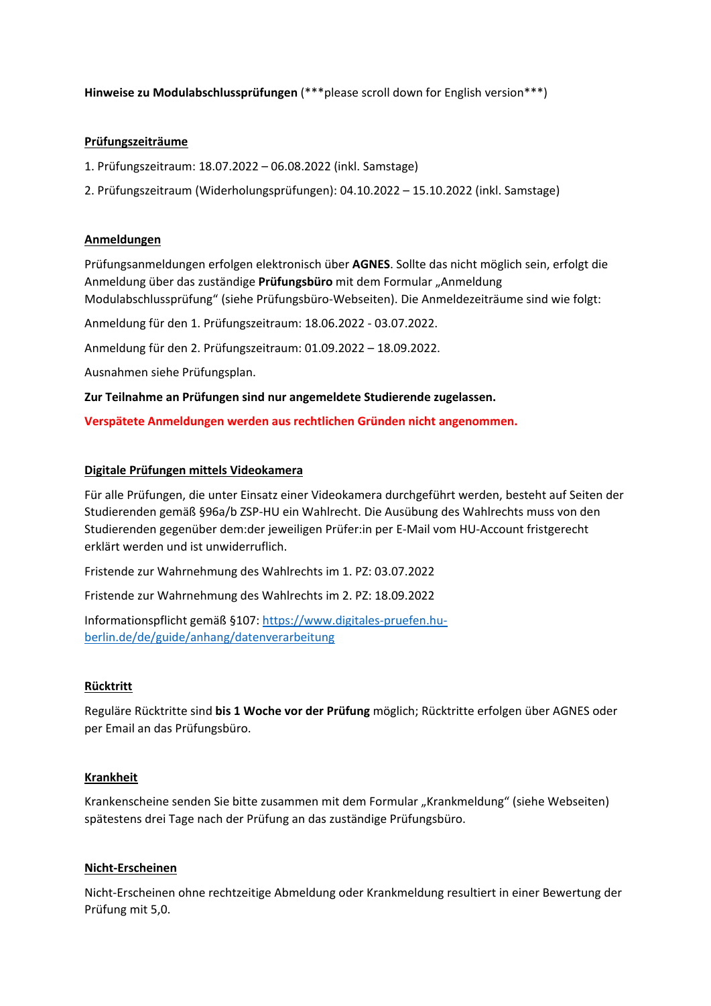**Hinweise zu Modulabschlussprüfungen** (\*\*\*please scroll down for English version\*\*\*)

## **Prüfungszeiträume**

1. Prüfungszeitraum: 18.07.2022 – 06.08.2022 (inkl. Samstage)

2. Prüfungszeitraum (Widerholungsprüfungen): 04.10.2022 – 15.10.2022 (inkl. Samstage)

## **Anmeldungen**

Prüfungsanmeldungen erfolgen elektronisch über **AGNES**. Sollte das nicht möglich sein, erfolgt die Anmeldung über das zuständige **Prüfungsbüro** mit dem Formular "Anmeldung Modulabschlussprüfung" (siehe Prüfungsbüro‐Webseiten). Die Anmeldezeiträume sind wie folgt:

Anmeldung für den 1. Prüfungszeitraum: 18.06.2022 ‐ 03.07.2022.

Anmeldung für den 2. Prüfungszeitraum: 01.09.2022 – 18.09.2022.

Ausnahmen siehe Prüfungsplan.

**Zur Teilnahme an Prüfungen sind nur angemeldete Studierende zugelassen.** 

**Verspätete Anmeldungen werden aus rechtlichen Gründen nicht angenommen.**

# **Digitale Prüfungen mittels Videokamera**

Für alle Prüfungen, die unter Einsatz einer Videokamera durchgeführt werden, besteht auf Seiten der Studierenden gemäß §96a/b ZSP‐HU ein Wahlrecht. Die Ausübung des Wahlrechts muss von den Studierenden gegenüber dem:der jeweiligen Prüfer:in per E‐Mail vom HU‐Account fristgerecht erklärt werden und ist unwiderruflich.

Fristende zur Wahrnehmung des Wahlrechts im 1. PZ: 03.07.2022

Fristende zur Wahrnehmung des Wahlrechts im 2. PZ: 18.09.2022

Informationspflicht gemäß §107: https://www.digitales‐pruefen.hu‐ berlin.de/de/guide/anhang/datenverarbeitung

## **Rücktritt**

Reguläre Rücktritte sind **bis 1 Woche vor der Prüfung** möglich; Rücktritte erfolgen über AGNES oder per Email an das Prüfungsbüro.

## **Krankheit**

Krankenscheine senden Sie bitte zusammen mit dem Formular "Krankmeldung" (siehe Webseiten) spätestens drei Tage nach der Prüfung an das zuständige Prüfungsbüro.

## **Nicht‐Erscheinen**

Nicht‐Erscheinen ohne rechtzeitige Abmeldung oder Krankmeldung resultiert in einer Bewertung der Prüfung mit 5,0.